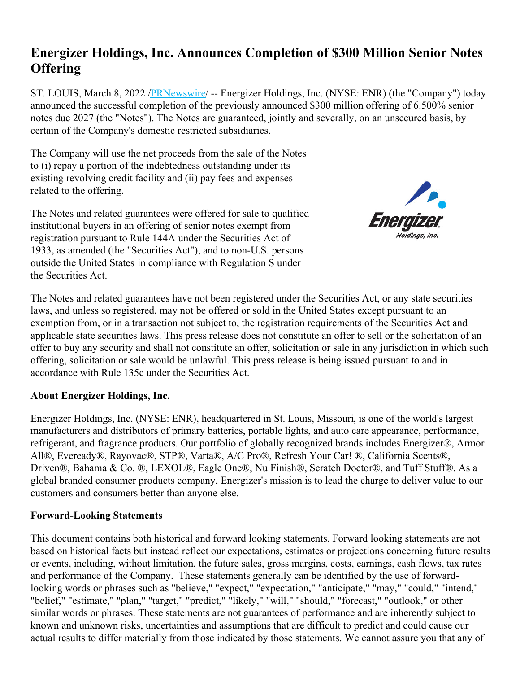## **Energizer Holdings, Inc. Announces Completion of \$300 Million Senior Notes Offering**

ST. LOUIS, March 8, 2022 /*PRNewswire*/ -- Energizer Holdings, Inc. (NYSE: ENR) (the "Company") today announced the successful completion of the previously announced \$300 million offering of 6.500% senior notes due 2027 (the "Notes"). The Notes are guaranteed, jointly and severally, on an unsecured basis, by certain of the Company's domestic restricted subsidiaries.

The Company will use the net proceeds from the sale of the Notes to (i) repay a portion of the indebtedness outstanding under its existing revolving credit facility and (ii) pay fees and expenses related to the offering.

The Notes and related guarantees were offered for sale to qualified institutional buyers in an offering of senior notes exempt from registration pursuant to Rule 144A under the Securities Act of 1933, as amended (the "Securities Act"), and to non-U.S. persons outside the United States in compliance with Regulation S under the Securities Act.



The Notes and related guarantees have not been registered under the Securities Act, or any state securities laws, and unless so registered, may not be offered or sold in the United States except pursuant to an exemption from, or in a transaction not subject to, the registration requirements of the Securities Act and applicable state securities laws. This press release does not constitute an offer to sell or the solicitation of an offer to buy any security and shall not constitute an offer, solicitation or sale in any jurisdiction in which such offering, solicitation or sale would be unlawful. This press release is being issued pursuant to and in accordance with Rule 135c under the Securities Act.

## **About Energizer Holdings, Inc.**

Energizer Holdings, Inc. (NYSE: ENR), headquartered in St. Louis, Missouri, is one of the world's largest manufacturers and distributors of primary batteries, portable lights, and auto care appearance, performance, refrigerant, and fragrance products. Our portfolio of globally recognized brands includes Energizer®, Armor All®, Eveready®, Rayovac®, STP®, Varta®, A/C Pro®, Refresh Your Car! ®, California Scents®, Driven®, Bahama & Co. ®, LEXOL®, Eagle One®, Nu Finish®, Scratch Doctor®, and Tuff Stuff®. As a global branded consumer products company, Energizer's mission is to lead the charge to deliver value to our customers and consumers better than anyone else.

## **Forward-Looking Statements**

This document contains both historical and forward looking statements. Forward looking statements are not based on historical facts but instead reflect our expectations, estimates or projections concerning future results or events, including, without limitation, the future sales, gross margins, costs, earnings, cash flows, tax rates and performance of the Company. These statements generally can be identified by the use of forwardlooking words or phrases such as "believe," "expect," "expectation," "anticipate," "may," "could," "intend," "belief," "estimate," "plan," "target," "predict," "likely," "will," "should," "forecast," "outlook," or other similar words or phrases. These statements are not guarantees of performance and are inherently subject to known and unknown risks, uncertainties and assumptions that are difficult to predict and could cause our actual results to differ materially from those indicated by those statements. We cannot assure you that any of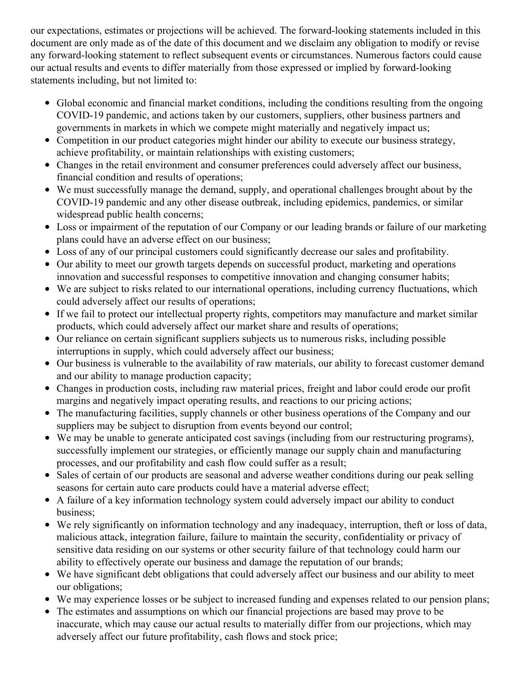our expectations, estimates or projections will be achieved. The forward-looking statements included in this document are only made as of the date of this document and we disclaim any obligation to modify or revise any forward-looking statement to reflect subsequent events or circumstances. Numerous factors could cause our actual results and events to differ materially from those expressed or implied by forward-looking statements including, but not limited to:

- Global economic and financial market conditions, including the conditions resulting from the ongoing COVID-19 pandemic, and actions taken by our customers, suppliers, other business partners and governments in markets in which we compete might materially and negatively impact us;
- Competition in our product categories might hinder our ability to execute our business strategy, achieve profitability, or maintain relationships with existing customers;
- Changes in the retail environment and consumer preferences could adversely affect our business, financial condition and results of operations;
- We must successfully manage the demand, supply, and operational challenges brought about by the COVID-19 pandemic and any other disease outbreak, including epidemics, pandemics, or similar widespread public health concerns;
- Loss or impairment of the reputation of our Company or our leading brands or failure of our marketing plans could have an adverse effect on our business;
- Loss of any of our principal customers could significantly decrease our sales and profitability.
- Our ability to meet our growth targets depends on successful product, marketing and operations innovation and successful responses to competitive innovation and changing consumer habits;
- We are subject to risks related to our international operations, including currency fluctuations, which could adversely affect our results of operations;
- If we fail to protect our intellectual property rights, competitors may manufacture and market similar products, which could adversely affect our market share and results of operations;
- Our reliance on certain significant suppliers subjects us to numerous risks, including possible interruptions in supply, which could adversely affect our business;
- Our business is vulnerable to the availability of raw materials, our ability to forecast customer demand and our ability to manage production capacity;
- Changes in production costs, including raw material prices, freight and labor could erode our profit margins and negatively impact operating results, and reactions to our pricing actions;
- The manufacturing facilities, supply channels or other business operations of the Company and our suppliers may be subject to disruption from events beyond our control;
- We may be unable to generate anticipated cost savings (including from our restructuring programs), successfully implement our strategies, or efficiently manage our supply chain and manufacturing processes, and our profitability and cash flow could suffer as a result;
- Sales of certain of our products are seasonal and adverse weather conditions during our peak selling seasons for certain auto care products could have a material adverse effect;
- A failure of a key information technology system could adversely impact our ability to conduct business;
- We rely significantly on information technology and any inadequacy, interruption, theft or loss of data, malicious attack, integration failure, failure to maintain the security, confidentiality or privacy of sensitive data residing on our systems or other security failure of that technology could harm our ability to effectively operate our business and damage the reputation of our brands;
- We have significant debt obligations that could adversely affect our business and our ability to meet our obligations;
- We may experience losses or be subject to increased funding and expenses related to our pension plans;
- The estimates and assumptions on which our financial projections are based may prove to be inaccurate, which may cause our actual results to materially differ from our projections, which may adversely affect our future profitability, cash flows and stock price;